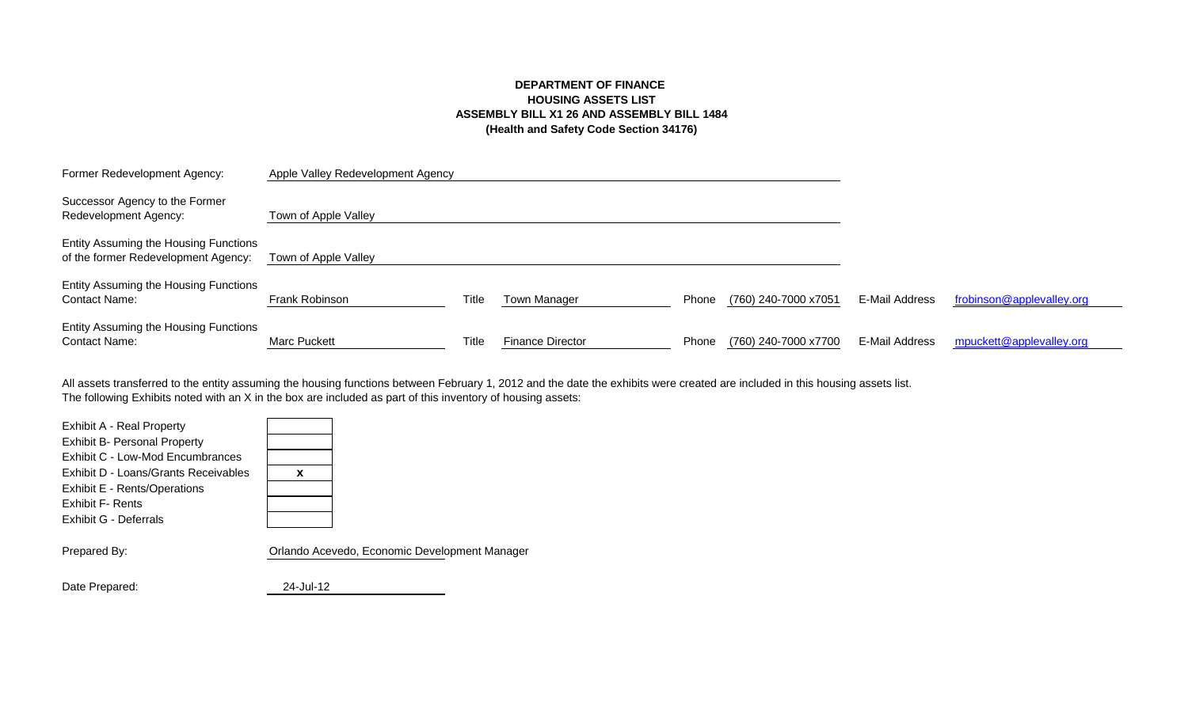# **DEPARTMENT OF FINANCE HOUSING ASSETS LIST ASSEMBLY BILL X1 26 AND ASSEMBLY BILL 1484 (Health and Safety Code Section 34176)**

| Former Redevelopment Agency:                                                 | Apple Valley Redevelopment Agency |       |                         |       |                      |                |                           |
|------------------------------------------------------------------------------|-----------------------------------|-------|-------------------------|-------|----------------------|----------------|---------------------------|
| Successor Agency to the Former<br>Redevelopment Agency:                      | Town of Apple Valley              |       |                         |       |                      |                |                           |
| Entity Assuming the Housing Functions<br>of the former Redevelopment Agency: | Town of Apple Valley              |       |                         |       |                      |                |                           |
| Entity Assuming the Housing Functions<br><b>Contact Name:</b>                | Frank Robinson                    | Title | Town Manager            | Phone | (760) 240-7000 x7051 | E-Mail Address | frobinson@applevalley.org |
| Entity Assuming the Housing Functions<br><b>Contact Name:</b>                | <b>Marc Puckett</b>               | Title | <b>Finance Director</b> | Phone | (760) 240-7000 x7700 | E-Mail Address | mpuckett@applevalley.org  |

The following Exhibits noted with an X in the box are included as part of this inventory of housing assets: All assets transferred to the entity assuming the housing functions between February 1, 2012 and the date the exhibits were created are included in this housing assets list.

| Orlando Acevedo, Economio |
|---------------------------|
|                           |

ic Development Manager

Date Prepared: 24-Jul-12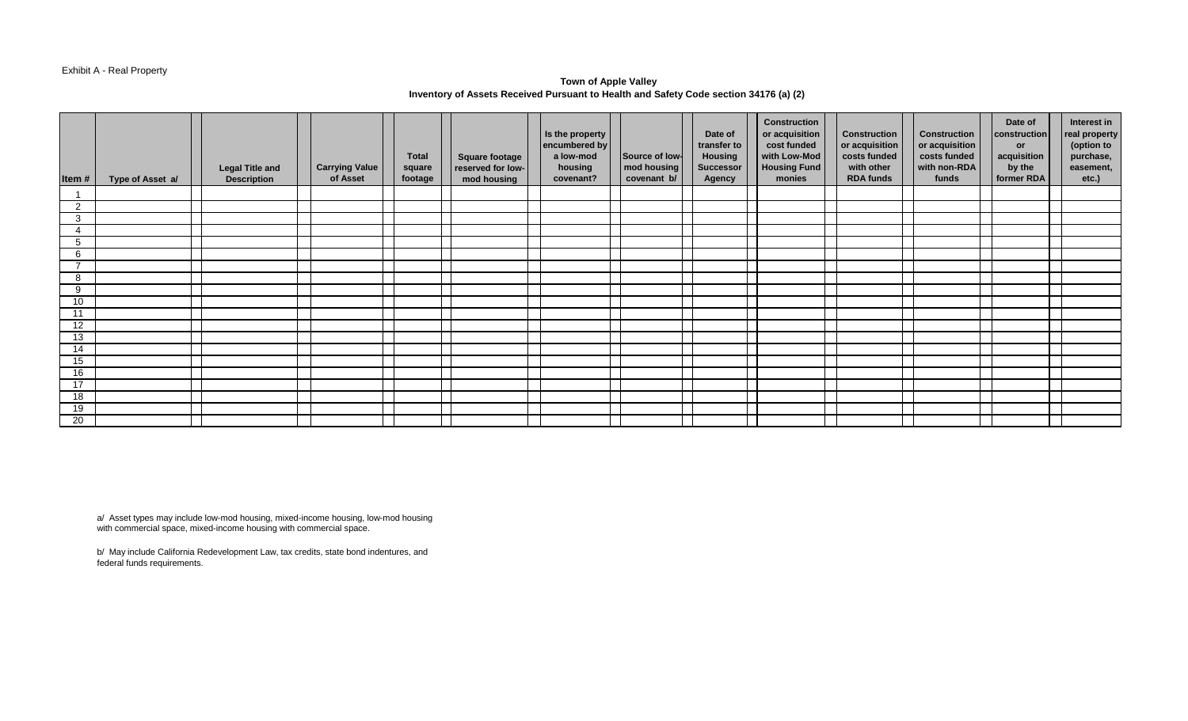#### Exhibit A - Real Property

## **Town of Apple Valley Inventory of Assets Received Pursuant to Health and Safety Code section 34176 (a) (2)**

| Item#           | Type of Asset a/ | <b>Legal Title and</b><br><b>Description</b> | <b>Carrying Value</b><br>of Asset | Total<br>square<br>footage | Square footage<br>reserved for low-<br>mod housing | Is the property<br>encumbered by<br>a low-mod<br>housing<br>covenant? | Source of low-<br>mod housing<br>covenant b/ | Date of<br>transfer to<br>Housing<br><b>Successor</b><br><b>Agency</b> | <b>Construction</b><br>or acquisition<br>cost funded<br>with Low-Mod<br><b>Housing Fund</b><br>monies | <b>Construction</b><br>or acquisition<br>costs funded<br>with other<br><b>RDA funds</b> | <b>Construction</b><br>or acquisition<br>costs funded<br>with non-RDA<br>funds | Date of<br>construction<br><b>or</b><br>acquisition<br>by the<br>former RDA | Interest in<br>real property<br>(option to<br>purchase,<br>easement,<br>etc.) |
|-----------------|------------------|----------------------------------------------|-----------------------------------|----------------------------|----------------------------------------------------|-----------------------------------------------------------------------|----------------------------------------------|------------------------------------------------------------------------|-------------------------------------------------------------------------------------------------------|-----------------------------------------------------------------------------------------|--------------------------------------------------------------------------------|-----------------------------------------------------------------------------|-------------------------------------------------------------------------------|
|                 |                  |                                              |                                   |                            |                                                    |                                                                       |                                              |                                                                        |                                                                                                       |                                                                                         |                                                                                |                                                                             |                                                                               |
| 2               |                  |                                              |                                   |                            |                                                    |                                                                       |                                              |                                                                        |                                                                                                       |                                                                                         |                                                                                |                                                                             |                                                                               |
| 3               |                  |                                              |                                   |                            |                                                    |                                                                       |                                              |                                                                        |                                                                                                       |                                                                                         |                                                                                |                                                                             |                                                                               |
|                 |                  |                                              |                                   |                            |                                                    |                                                                       |                                              |                                                                        |                                                                                                       |                                                                                         |                                                                                |                                                                             |                                                                               |
| 5               |                  |                                              |                                   |                            |                                                    |                                                                       |                                              |                                                                        |                                                                                                       |                                                                                         |                                                                                |                                                                             |                                                                               |
| 6               |                  |                                              |                                   |                            |                                                    |                                                                       |                                              |                                                                        |                                                                                                       |                                                                                         |                                                                                |                                                                             |                                                                               |
| $\overline{ }$  |                  |                                              |                                   |                            |                                                    |                                                                       |                                              |                                                                        |                                                                                                       |                                                                                         |                                                                                |                                                                             |                                                                               |
| 8               |                  |                                              |                                   |                            |                                                    |                                                                       |                                              |                                                                        |                                                                                                       |                                                                                         |                                                                                |                                                                             |                                                                               |
| 9               |                  |                                              |                                   |                            |                                                    |                                                                       |                                              |                                                                        |                                                                                                       |                                                                                         |                                                                                |                                                                             |                                                                               |
| 10 <sup>°</sup> |                  |                                              |                                   |                            |                                                    |                                                                       |                                              |                                                                        |                                                                                                       |                                                                                         |                                                                                |                                                                             |                                                                               |
| 11              |                  |                                              |                                   |                            |                                                    |                                                                       |                                              |                                                                        |                                                                                                       |                                                                                         |                                                                                |                                                                             |                                                                               |
| 12              |                  |                                              |                                   |                            |                                                    |                                                                       |                                              |                                                                        |                                                                                                       |                                                                                         |                                                                                |                                                                             |                                                                               |
| 13              |                  |                                              |                                   |                            |                                                    |                                                                       |                                              |                                                                        |                                                                                                       |                                                                                         |                                                                                |                                                                             |                                                                               |
| 14              |                  |                                              |                                   |                            |                                                    |                                                                       |                                              |                                                                        |                                                                                                       |                                                                                         |                                                                                |                                                                             |                                                                               |
| 15              |                  |                                              |                                   |                            |                                                    |                                                                       |                                              |                                                                        |                                                                                                       |                                                                                         |                                                                                |                                                                             |                                                                               |
| 16              |                  |                                              |                                   |                            |                                                    |                                                                       |                                              |                                                                        |                                                                                                       |                                                                                         |                                                                                |                                                                             |                                                                               |
| 17              |                  |                                              |                                   |                            |                                                    |                                                                       |                                              |                                                                        |                                                                                                       |                                                                                         |                                                                                |                                                                             |                                                                               |
| 18              |                  |                                              |                                   |                            |                                                    |                                                                       |                                              |                                                                        |                                                                                                       |                                                                                         |                                                                                |                                                                             |                                                                               |
| 19              |                  |                                              |                                   |                            |                                                    |                                                                       |                                              |                                                                        |                                                                                                       |                                                                                         |                                                                                |                                                                             |                                                                               |
| 20              |                  |                                              |                                   |                            |                                                    |                                                                       |                                              |                                                                        |                                                                                                       |                                                                                         |                                                                                |                                                                             |                                                                               |

a/ Asset types may include low-mod housing, mixed-income housing, low-mod housing with commercial space, mixed-income housing with commercial space.

b/ May include California Redevelopment Law, tax credits, state bond indentures, and federal funds requirements.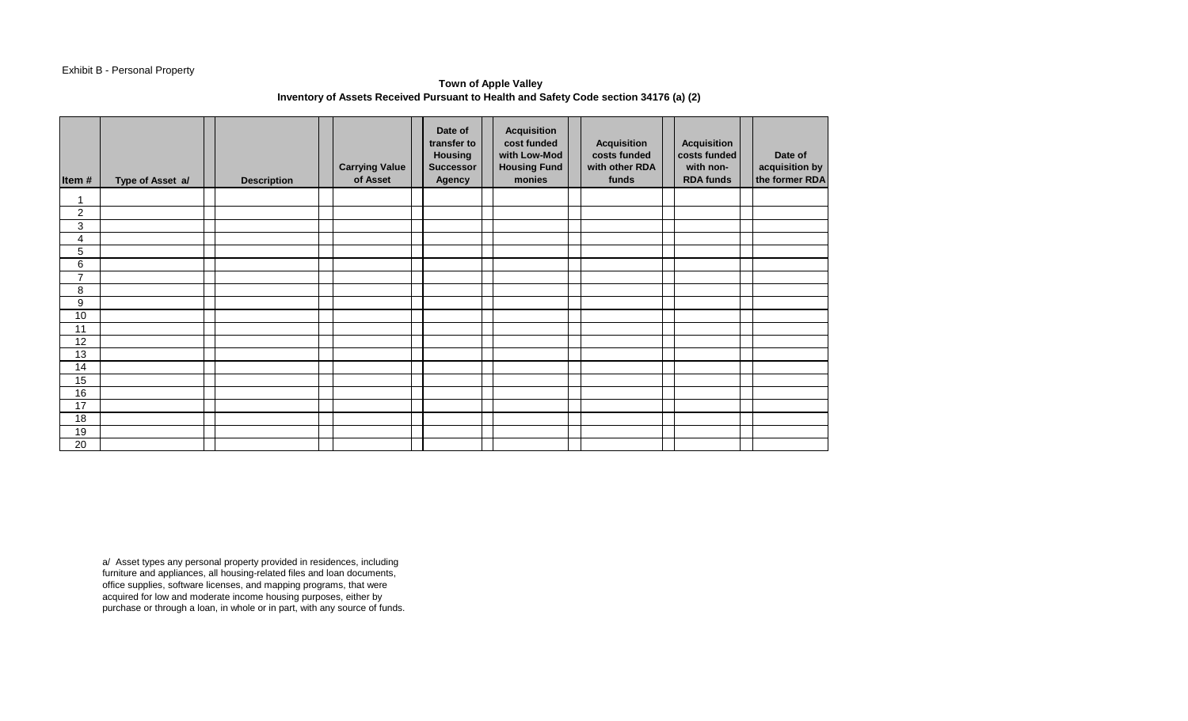## Exhibit B - Personal Property

# **Town of Apple Valley Inventory of Assets Received Pursuant to Health and Safety Code section 34176 (a) (2)**

| Item#          | Type of Asset a/ | <b>Description</b> | <b>Carrying Value</b><br>of Asset | Date of<br>transfer to<br>Housing<br><b>Successor</b><br>Agency | <b>Acquisition</b><br>cost funded<br>with Low-Mod<br><b>Housing Fund</b><br>monies | <b>Acquisition</b><br>costs funded<br>with other RDA<br>funds | <b>Acquisition</b><br>costs funded<br>with non-<br><b>RDA funds</b> | Date of<br>acquisition by<br>the former RDA |
|----------------|------------------|--------------------|-----------------------------------|-----------------------------------------------------------------|------------------------------------------------------------------------------------|---------------------------------------------------------------|---------------------------------------------------------------------|---------------------------------------------|
|                |                  |                    |                                   |                                                                 |                                                                                    |                                                               |                                                                     |                                             |
| $\overline{c}$ |                  |                    |                                   |                                                                 |                                                                                    |                                                               |                                                                     |                                             |
| 3              |                  |                    |                                   |                                                                 |                                                                                    |                                                               |                                                                     |                                             |
| 4              |                  |                    |                                   |                                                                 |                                                                                    |                                                               |                                                                     |                                             |
| 5              |                  |                    |                                   |                                                                 |                                                                                    |                                                               |                                                                     |                                             |
| 6              |                  |                    |                                   |                                                                 |                                                                                    |                                                               |                                                                     |                                             |
| $\overline{7}$ |                  |                    |                                   |                                                                 |                                                                                    |                                                               |                                                                     |                                             |
| 8              |                  |                    |                                   |                                                                 |                                                                                    |                                                               |                                                                     |                                             |
| 9              |                  |                    |                                   |                                                                 |                                                                                    |                                                               |                                                                     |                                             |
| 10             |                  |                    |                                   |                                                                 |                                                                                    |                                                               |                                                                     |                                             |
| 11             |                  |                    |                                   |                                                                 |                                                                                    |                                                               |                                                                     |                                             |
| 12             |                  |                    |                                   |                                                                 |                                                                                    |                                                               |                                                                     |                                             |
| 13             |                  |                    |                                   |                                                                 |                                                                                    |                                                               |                                                                     |                                             |
| 14             |                  |                    |                                   |                                                                 |                                                                                    |                                                               |                                                                     |                                             |
| 15             |                  |                    |                                   |                                                                 |                                                                                    |                                                               |                                                                     |                                             |
| 16             |                  |                    |                                   |                                                                 |                                                                                    |                                                               |                                                                     |                                             |
| 17             |                  |                    |                                   |                                                                 |                                                                                    |                                                               |                                                                     |                                             |
| 18             |                  |                    |                                   |                                                                 |                                                                                    |                                                               |                                                                     |                                             |
| 19             |                  |                    |                                   |                                                                 |                                                                                    |                                                               |                                                                     |                                             |
| 20             |                  |                    |                                   |                                                                 |                                                                                    |                                                               |                                                                     |                                             |

a/ Asset types any personal property provided in residences, including furniture and appliances, all housing-related files and loan documents, office supplies, software licenses, and mapping programs, that were acquired for low and moderate income housing purposes, either by purchase or through a loan, in whole or in part, with any source of funds.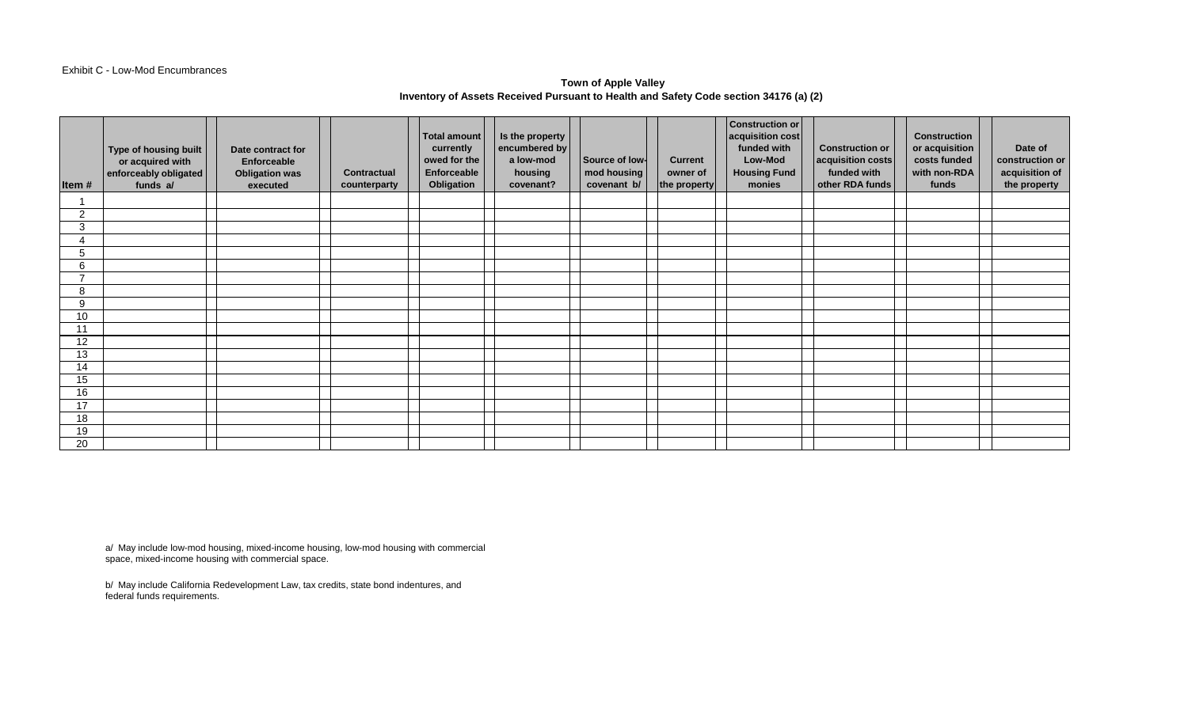#### Exhibit C - Low-Mod Encumbrances

# **Town of Apple Valley Inventory of Assets Received Pursuant to Health and Safety Code section 34176 (a) (2)**

| Item#          | Type of housing built<br>or acquired with<br>enforceably obligated<br>funds a/ | Date contract for<br>Enforceable<br><b>Obligation was</b><br>executed | <b>Contractual</b><br>counterparty | Total amount<br>currently<br>owed for the<br>Enforceable<br>Obligation | Is the property<br>encumbered by<br>a low-mod<br>housing<br>covenant? | Source of low-<br>mod housing<br>covenant b/ | <b>Current</b><br>owner of<br>the property | <b>Construction or</b><br>acquisition cost<br>funded with<br>Low-Mod<br><b>Housing Fund</b><br>monies | <b>Construction or</b><br>acquisition costs<br>funded with<br>other RDA funds | <b>Construction</b><br>or acquisition<br>costs funded<br>with non-RDA<br>funds | Date of<br>construction or<br>acquisition of<br>the property |
|----------------|--------------------------------------------------------------------------------|-----------------------------------------------------------------------|------------------------------------|------------------------------------------------------------------------|-----------------------------------------------------------------------|----------------------------------------------|--------------------------------------------|-------------------------------------------------------------------------------------------------------|-------------------------------------------------------------------------------|--------------------------------------------------------------------------------|--------------------------------------------------------------|
|                |                                                                                |                                                                       |                                    |                                                                        |                                                                       |                                              |                                            |                                                                                                       |                                                                               |                                                                                |                                                              |
| $\overline{2}$ |                                                                                |                                                                       |                                    |                                                                        |                                                                       |                                              |                                            |                                                                                                       |                                                                               |                                                                                |                                                              |
| 3              |                                                                                |                                                                       |                                    |                                                                        |                                                                       |                                              |                                            |                                                                                                       |                                                                               |                                                                                |                                                              |
|                |                                                                                |                                                                       |                                    |                                                                        |                                                                       |                                              |                                            |                                                                                                       |                                                                               |                                                                                |                                                              |
| 5              |                                                                                |                                                                       |                                    |                                                                        |                                                                       |                                              |                                            |                                                                                                       |                                                                               |                                                                                |                                                              |
| 6              |                                                                                |                                                                       |                                    |                                                                        |                                                                       |                                              |                                            |                                                                                                       |                                                                               |                                                                                |                                                              |
| ⇁              |                                                                                |                                                                       |                                    |                                                                        |                                                                       |                                              |                                            |                                                                                                       |                                                                               |                                                                                |                                                              |
| 8              |                                                                                |                                                                       |                                    |                                                                        |                                                                       |                                              |                                            |                                                                                                       |                                                                               |                                                                                |                                                              |
| 9              |                                                                                |                                                                       |                                    |                                                                        |                                                                       |                                              |                                            |                                                                                                       |                                                                               |                                                                                |                                                              |
| 10             |                                                                                |                                                                       |                                    |                                                                        |                                                                       |                                              |                                            |                                                                                                       |                                                                               |                                                                                |                                                              |
| 11             |                                                                                |                                                                       |                                    |                                                                        |                                                                       |                                              |                                            |                                                                                                       |                                                                               |                                                                                |                                                              |
| 12             |                                                                                |                                                                       |                                    |                                                                        |                                                                       |                                              |                                            |                                                                                                       |                                                                               |                                                                                |                                                              |
| 13             |                                                                                |                                                                       |                                    |                                                                        |                                                                       |                                              |                                            |                                                                                                       |                                                                               |                                                                                |                                                              |
| 14             |                                                                                |                                                                       |                                    |                                                                        |                                                                       |                                              |                                            |                                                                                                       |                                                                               |                                                                                |                                                              |
| 15             |                                                                                |                                                                       |                                    |                                                                        |                                                                       |                                              |                                            |                                                                                                       |                                                                               |                                                                                |                                                              |
| 16             |                                                                                |                                                                       |                                    |                                                                        |                                                                       |                                              |                                            |                                                                                                       |                                                                               |                                                                                |                                                              |
| 17             |                                                                                |                                                                       |                                    |                                                                        |                                                                       |                                              |                                            |                                                                                                       |                                                                               |                                                                                |                                                              |
| 18             |                                                                                |                                                                       |                                    |                                                                        |                                                                       |                                              |                                            |                                                                                                       |                                                                               |                                                                                |                                                              |
| 19             |                                                                                |                                                                       |                                    |                                                                        |                                                                       |                                              |                                            |                                                                                                       |                                                                               |                                                                                |                                                              |
| 20             |                                                                                |                                                                       |                                    |                                                                        |                                                                       |                                              |                                            |                                                                                                       |                                                                               |                                                                                |                                                              |

a/ May include low-mod housing, mixed-income housing, low-mod housing with commercial space, mixed-income housing with commercial space.

b/ May include California Redevelopment Law, tax credits, state bond indentures, and federal funds requirements.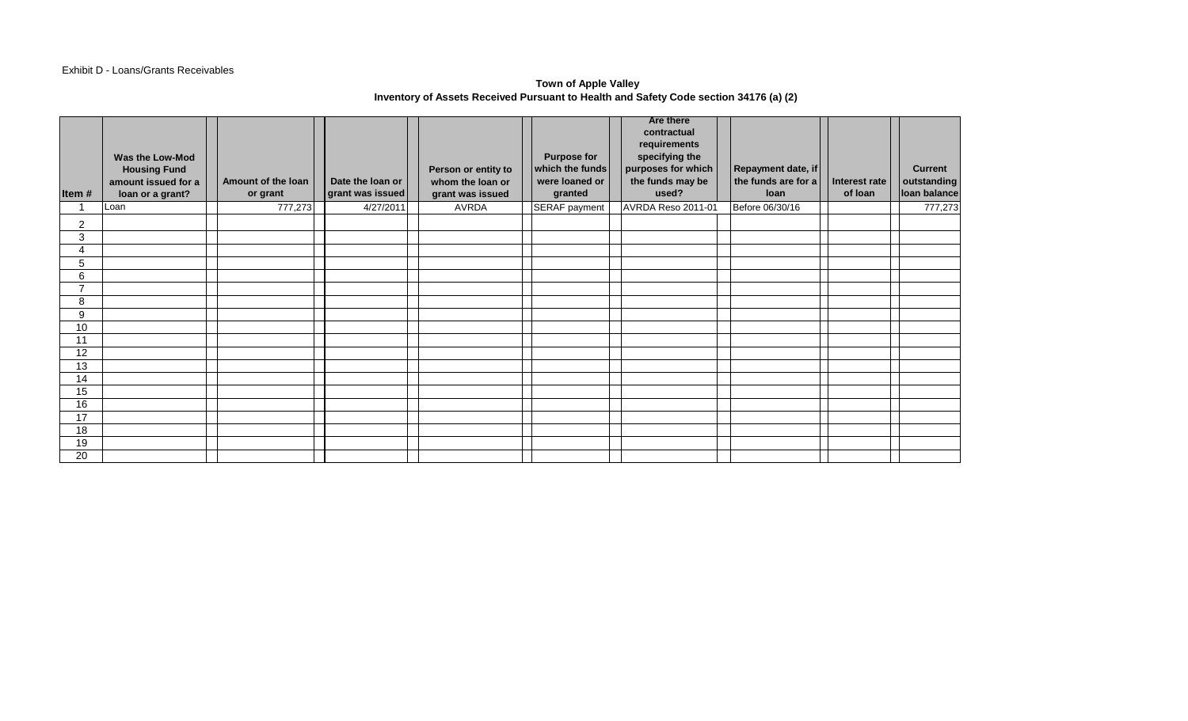## Exhibit D - Loans/Grants Receivables

#### **Town of Apple Valley Inventory of Assets Received Pursuant to Health and Safety Code section 34176 (a) (2)**

| Item#          | Was the Low-Mod<br><b>Housing Fund</b><br>amount issued for a<br>loan or a grant? | Amount of the loan<br>or grant | Date the loan or<br>grant was issued | Person or entity to<br>whom the loan or<br>grant was issued | <b>Purpose for</b><br>which the funds<br>were loaned or<br>granted | <b>Are there</b><br>contractual<br>requirements<br>specifying the<br>purposes for which<br>the funds may be<br>used? | Repayment date, if<br>the funds are for a<br><b>loan</b> | Interest rate<br>of loan | <b>Current</b><br>outstanding<br>loan balance |
|----------------|-----------------------------------------------------------------------------------|--------------------------------|--------------------------------------|-------------------------------------------------------------|--------------------------------------------------------------------|----------------------------------------------------------------------------------------------------------------------|----------------------------------------------------------|--------------------------|-----------------------------------------------|
|                | Loan                                                                              | 777,273                        | 4/27/2011                            | AVRDA                                                       | SERAF payment                                                      | AVRDA Reso 2011-01                                                                                                   | Before 06/30/16                                          |                          | 777,273                                       |
| 2              |                                                                                   |                                |                                      |                                                             |                                                                    |                                                                                                                      |                                                          |                          |                                               |
| 3              |                                                                                   |                                |                                      |                                                             |                                                                    |                                                                                                                      |                                                          |                          |                                               |
| 4              |                                                                                   |                                |                                      |                                                             |                                                                    |                                                                                                                      |                                                          |                          |                                               |
| 5              |                                                                                   |                                |                                      |                                                             |                                                                    |                                                                                                                      |                                                          |                          |                                               |
| 6              |                                                                                   |                                |                                      |                                                             |                                                                    |                                                                                                                      |                                                          |                          |                                               |
| $\overline{ }$ |                                                                                   |                                |                                      |                                                             |                                                                    |                                                                                                                      |                                                          |                          |                                               |
| 8              |                                                                                   |                                |                                      |                                                             |                                                                    |                                                                                                                      |                                                          |                          |                                               |
| 9              |                                                                                   |                                |                                      |                                                             |                                                                    |                                                                                                                      |                                                          |                          |                                               |
| 10             |                                                                                   |                                |                                      |                                                             |                                                                    |                                                                                                                      |                                                          |                          |                                               |
| 11             |                                                                                   |                                |                                      |                                                             |                                                                    |                                                                                                                      |                                                          |                          |                                               |
| 12             |                                                                                   |                                |                                      |                                                             |                                                                    |                                                                                                                      |                                                          |                          |                                               |
| 13<br>14       |                                                                                   |                                |                                      |                                                             |                                                                    |                                                                                                                      |                                                          |                          |                                               |
| 15             |                                                                                   |                                |                                      |                                                             |                                                                    |                                                                                                                      |                                                          |                          |                                               |
| 16             |                                                                                   |                                |                                      |                                                             |                                                                    |                                                                                                                      |                                                          |                          |                                               |
| 17             |                                                                                   |                                |                                      |                                                             |                                                                    |                                                                                                                      |                                                          |                          |                                               |
| 18             |                                                                                   |                                |                                      |                                                             |                                                                    |                                                                                                                      |                                                          |                          |                                               |
| 19             |                                                                                   |                                |                                      |                                                             |                                                                    |                                                                                                                      |                                                          |                          |                                               |
| 20             |                                                                                   |                                |                                      |                                                             |                                                                    |                                                                                                                      |                                                          |                          |                                               |
|                |                                                                                   |                                |                                      |                                                             |                                                                    |                                                                                                                      |                                                          |                          |                                               |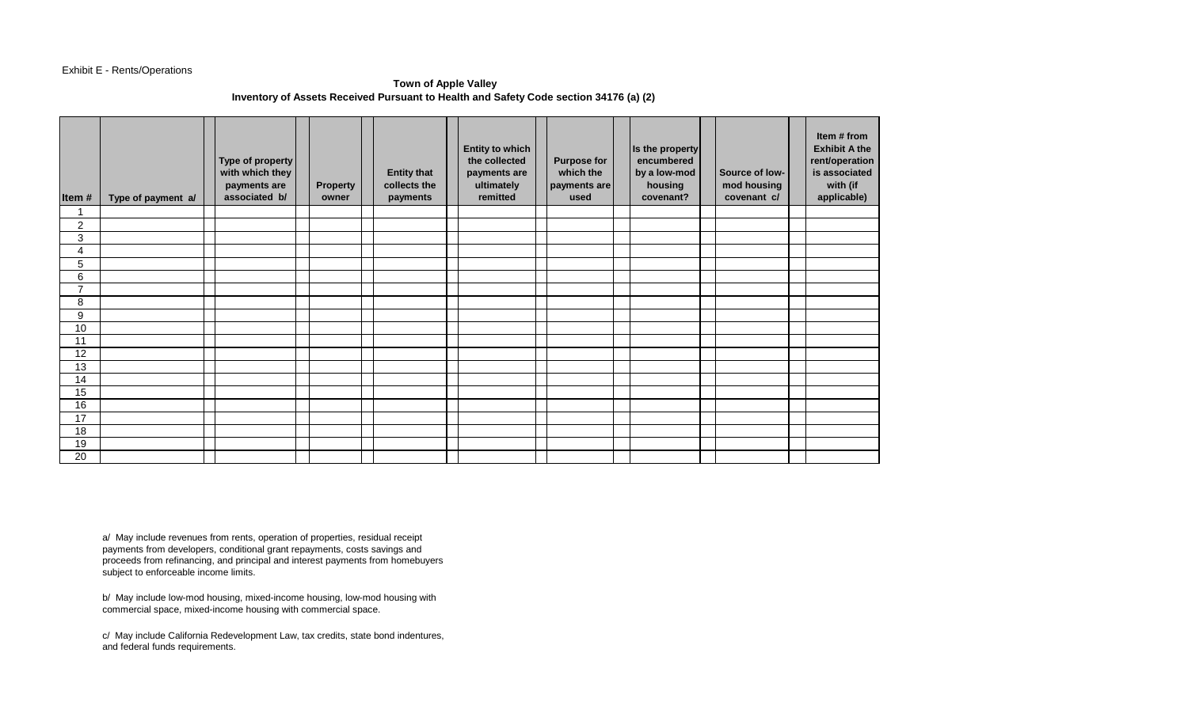## Exhibit E - Rents/Operations

## **Town of Apple Valley Inventory of Assets Received Pursuant to Health and Safety Code section 34176 (a) (2)**

| Item#           | Type of payment a/ | Type of property<br>with which they<br>payments are<br>associated b/ | <b>Property</b><br>owner | <b>Entity that</b><br>collects the<br>payments | <b>Entity to which</b><br>the collected<br>payments are<br>ultimately<br>remitted | <b>Purpose for</b><br>which the<br>payments are<br>used | Is the property<br>encumbered<br>by a low-mod<br>housing<br>covenant? | Source of low-<br>mod housing<br>covenant c/ | Item # from<br><b>Exhibit A the</b><br>rent/operation<br>is associated<br>with (if<br>applicable) |
|-----------------|--------------------|----------------------------------------------------------------------|--------------------------|------------------------------------------------|-----------------------------------------------------------------------------------|---------------------------------------------------------|-----------------------------------------------------------------------|----------------------------------------------|---------------------------------------------------------------------------------------------------|
| 1               |                    |                                                                      |                          |                                                |                                                                                   |                                                         |                                                                       |                                              |                                                                                                   |
| 2               |                    |                                                                      |                          |                                                |                                                                                   |                                                         |                                                                       |                                              |                                                                                                   |
| 3               |                    |                                                                      |                          |                                                |                                                                                   |                                                         |                                                                       |                                              |                                                                                                   |
| 4               |                    |                                                                      |                          |                                                |                                                                                   |                                                         |                                                                       |                                              |                                                                                                   |
| 5               |                    |                                                                      |                          |                                                |                                                                                   |                                                         |                                                                       |                                              |                                                                                                   |
| 6               |                    |                                                                      |                          |                                                |                                                                                   |                                                         |                                                                       |                                              |                                                                                                   |
| $\overline{7}$  |                    |                                                                      |                          |                                                |                                                                                   |                                                         |                                                                       |                                              |                                                                                                   |
| 8               |                    |                                                                      |                          |                                                |                                                                                   |                                                         |                                                                       |                                              |                                                                                                   |
| 9               |                    |                                                                      |                          |                                                |                                                                                   |                                                         |                                                                       |                                              |                                                                                                   |
| 10              |                    |                                                                      |                          |                                                |                                                                                   |                                                         |                                                                       |                                              |                                                                                                   |
| 11              |                    |                                                                      |                          |                                                |                                                                                   |                                                         |                                                                       |                                              |                                                                                                   |
| 12              |                    |                                                                      |                          |                                                |                                                                                   |                                                         |                                                                       |                                              |                                                                                                   |
| $\overline{13}$ |                    |                                                                      |                          |                                                |                                                                                   |                                                         |                                                                       |                                              |                                                                                                   |
| 14              |                    |                                                                      |                          |                                                |                                                                                   |                                                         |                                                                       |                                              |                                                                                                   |
| 15              |                    |                                                                      |                          |                                                |                                                                                   |                                                         |                                                                       |                                              |                                                                                                   |
| 16              |                    |                                                                      |                          |                                                |                                                                                   |                                                         |                                                                       |                                              |                                                                                                   |
| 17              |                    |                                                                      |                          |                                                |                                                                                   |                                                         |                                                                       |                                              |                                                                                                   |
| 18              |                    |                                                                      |                          |                                                |                                                                                   |                                                         |                                                                       |                                              |                                                                                                   |
| 19              |                    |                                                                      |                          |                                                |                                                                                   |                                                         |                                                                       |                                              |                                                                                                   |
| 20              |                    |                                                                      |                          |                                                |                                                                                   |                                                         |                                                                       |                                              |                                                                                                   |

a/ May include revenues from rents, operation of properties, residual receipt payments from developers, conditional grant repayments, costs savings and proceeds from refinancing, and principal and interest payments from homebuyers subject to enforceable income limits.

b/ May include low-mod housing, mixed-income housing, low-mod housing with commercial space, mixed-income housing with commercial space.

c/ May include California Redevelopment Law, tax credits, state bond indentures, and federal funds requirements.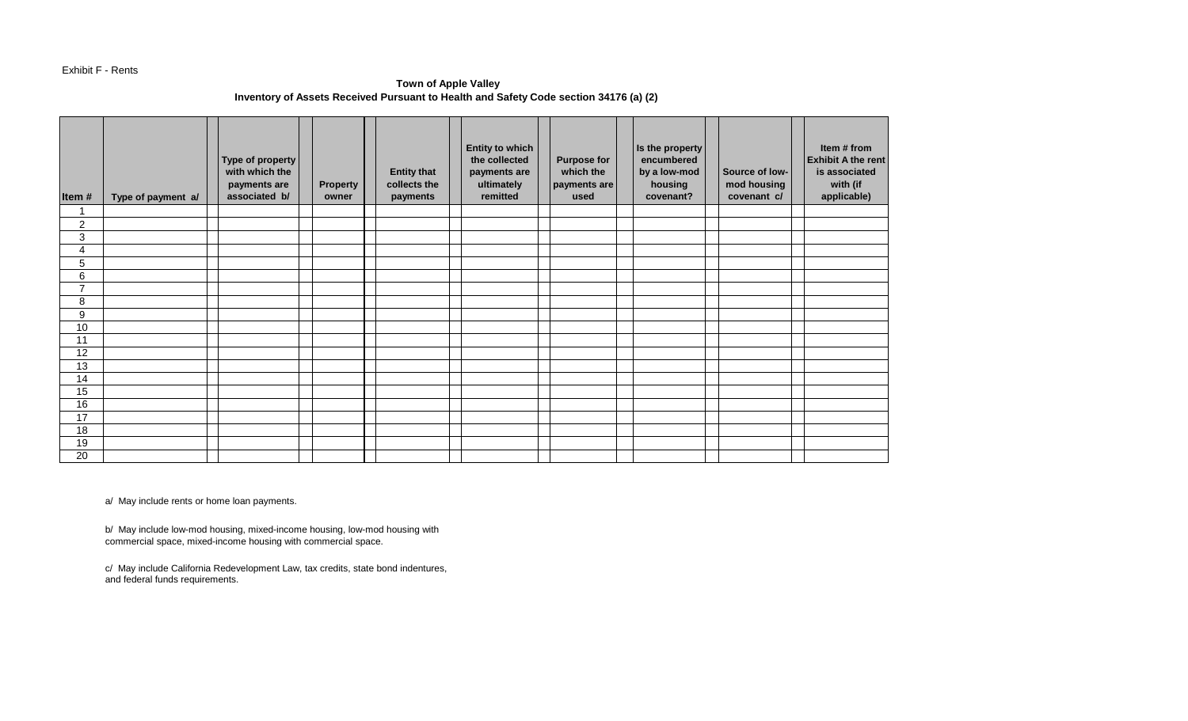#### Exhibit F - Rents

# **Town of Apple Valley Inventory of Assets Received Pursuant to Health and Safety Code section 34176 (a) (2)**

| Item#<br>$\overline{\mathbf{A}}$ | Type of payment a/ | Type of property<br>with which the<br>payments are<br>associated b/ | <b>Property</b><br>owner | <b>Entity that</b><br>collects the<br>payments | <b>Entity to which</b><br>the collected<br>payments are<br>ultimately<br>remitted | <b>Purpose for</b><br>which the<br>payments are<br>used | Is the property<br>encumbered<br>by a low-mod<br>housing<br>covenant? | Source of low-<br>mod housing<br>covenant c/ | Item # from<br><b>Exhibit A the rent</b><br>is associated<br>with (if<br>applicable) |
|----------------------------------|--------------------|---------------------------------------------------------------------|--------------------------|------------------------------------------------|-----------------------------------------------------------------------------------|---------------------------------------------------------|-----------------------------------------------------------------------|----------------------------------------------|--------------------------------------------------------------------------------------|
| $\overline{c}$                   |                    |                                                                     |                          |                                                |                                                                                   |                                                         |                                                                       |                                              |                                                                                      |
| 3                                |                    |                                                                     |                          |                                                |                                                                                   |                                                         |                                                                       |                                              |                                                                                      |
| 4                                |                    |                                                                     |                          |                                                |                                                                                   |                                                         |                                                                       |                                              |                                                                                      |
| 5                                |                    |                                                                     |                          |                                                |                                                                                   |                                                         |                                                                       |                                              |                                                                                      |
| 6                                |                    |                                                                     |                          |                                                |                                                                                   |                                                         |                                                                       |                                              |                                                                                      |
| $\overline{7}$                   |                    |                                                                     |                          |                                                |                                                                                   |                                                         |                                                                       |                                              |                                                                                      |
| 8                                |                    |                                                                     |                          |                                                |                                                                                   |                                                         |                                                                       |                                              |                                                                                      |
| 9                                |                    |                                                                     |                          |                                                |                                                                                   |                                                         |                                                                       |                                              |                                                                                      |
| 10                               |                    |                                                                     |                          |                                                |                                                                                   |                                                         |                                                                       |                                              |                                                                                      |
| 11                               |                    |                                                                     |                          |                                                |                                                                                   |                                                         |                                                                       |                                              |                                                                                      |
| 12                               |                    |                                                                     |                          |                                                |                                                                                   |                                                         |                                                                       |                                              |                                                                                      |
| 13                               |                    |                                                                     |                          |                                                |                                                                                   |                                                         |                                                                       |                                              |                                                                                      |
| 14                               |                    |                                                                     |                          |                                                |                                                                                   |                                                         |                                                                       |                                              |                                                                                      |
| 15                               |                    |                                                                     |                          |                                                |                                                                                   |                                                         |                                                                       |                                              |                                                                                      |
| 16                               |                    |                                                                     |                          |                                                |                                                                                   |                                                         |                                                                       |                                              |                                                                                      |
| 17                               |                    |                                                                     |                          |                                                |                                                                                   |                                                         |                                                                       |                                              |                                                                                      |
| 18                               |                    |                                                                     |                          |                                                |                                                                                   |                                                         |                                                                       |                                              |                                                                                      |
| 19                               |                    |                                                                     |                          |                                                |                                                                                   |                                                         |                                                                       |                                              |                                                                                      |
| 20                               |                    |                                                                     |                          |                                                |                                                                                   |                                                         |                                                                       |                                              |                                                                                      |

a/ May include rents or home loan payments.

b/ May include low-mod housing, mixed-income housing, low-mod housing with commercial space, mixed-income housing with commercial space.

c/ May include California Redevelopment Law, tax credits, state bond indentures, and federal funds requirements.